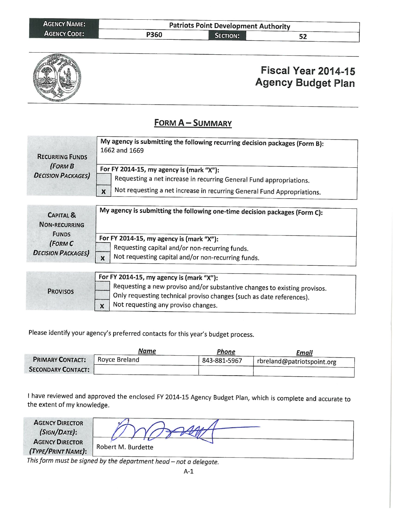| <b>AGENCY NAME:</b> |      | <b>Patriots Point Development Authority</b> |    |  |
|---------------------|------|---------------------------------------------|----|--|
| <b>AGENCY CODE:</b> | P360 | <b>SECTION:</b>                             | 22 |  |



## Fiscal Year 2014-15 **Agency Budget Plan**

## **FORM A-SUMMARY**

| <b>RECURRING FUNDS</b><br>(FORM B<br><b>DECISION PACKAGES)</b>                                      | My agency is submitting the following recurring decision packages (Form B):<br>1662 and 1669                    |
|-----------------------------------------------------------------------------------------------------|-----------------------------------------------------------------------------------------------------------------|
|                                                                                                     | For FY 2014-15, my agency is (mark "X"):<br>Requesting a net increase in recurring General Fund appropriations. |
|                                                                                                     | Not requesting a net increase in recurring General Fund Appropriations.<br>$\mathbf x$                          |
| <b>CAPITAL &amp;</b><br><b>NON-RECURRING</b><br><b>FUNDS</b><br>(FORM C<br><b>DECISION PACKAGES</b> | My agency is submitting the following one-time decision packages (Form C):                                      |
|                                                                                                     | For FY 2014-15, my agency is (mark "X"):                                                                        |
|                                                                                                     | Requesting capital and/or non-recurring funds.                                                                  |
|                                                                                                     | Not requesting capital and/or non-recurring funds.<br>$\boldsymbol{\mathsf{x}}$                                 |
|                                                                                                     | For FY 2014-15, my agency is (mark "X"):                                                                        |
| <b>PROVISOS</b>                                                                                     | Requesting a new proviso and/or substantive changes to existing provisos.                                       |

Only requesting technical proviso changes (such as date references).

Not requesting any proviso changes.  $\mathbf{x}$ 

Please identify your agency's preferred contacts for this year's budget process.

|                           | Name          | Phone        | Email                      |
|---------------------------|---------------|--------------|----------------------------|
| <b>PRIMARY CONTACT:</b>   | Royce Breland | 843-881-5967 | rbreland@patriotspoint.org |
| <b>SECONDARY CONTACT:</b> |               |              |                            |

I have reviewed and approved the enclosed FY 2014-15 Agency Budget Plan, which is complete and accurate to the extent of my knowledge.

| <b>AGENCY DIRECTOR</b><br>(SIGN/DATE):                   |                    |
|----------------------------------------------------------|--------------------|
| <b>AGENCY DIRECTOR</b><br>(TYPE/PRINT NAME):             | Robert M. Burdette |
| $This follows now must be given at l = l, l = l, l = l.$ |                    |

This form must be signed by the department head - not a delegate.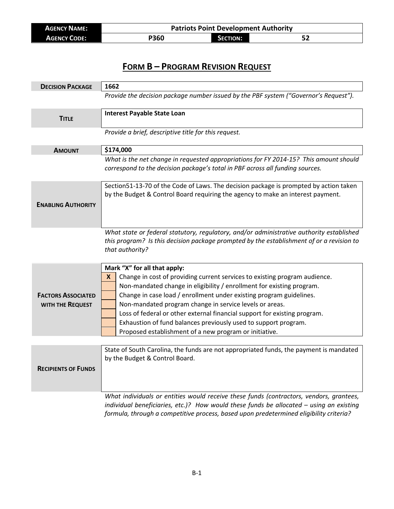| <b>AGENCY NAME:</b> | <b>Patriots Point Development Authority</b> |                 |    |
|---------------------|---------------------------------------------|-----------------|----|
| <b>AGENCY CODE:</b> | P360                                        | <b>SECTION:</b> | ЭZ |

## **FORM B – PROGRAM REVISION REQUEST**

| <b>DECISION PACKAGE</b>                       | 1662                                                                                                                                                                                                                                                                                                                                                                                                                                                                                                                                  |
|-----------------------------------------------|---------------------------------------------------------------------------------------------------------------------------------------------------------------------------------------------------------------------------------------------------------------------------------------------------------------------------------------------------------------------------------------------------------------------------------------------------------------------------------------------------------------------------------------|
|                                               | Provide the decision package number issued by the PBF system ("Governor's Request").                                                                                                                                                                                                                                                                                                                                                                                                                                                  |
| <b>TITLE</b>                                  | <b>Interest Payable State Loan</b>                                                                                                                                                                                                                                                                                                                                                                                                                                                                                                    |
|                                               | Provide a brief, descriptive title for this request.                                                                                                                                                                                                                                                                                                                                                                                                                                                                                  |
| <b>AMOUNT</b>                                 | \$174,000                                                                                                                                                                                                                                                                                                                                                                                                                                                                                                                             |
|                                               | What is the net change in requested appropriations for FY 2014-15? This amount should<br>correspond to the decision package's total in PBF across all funding sources.                                                                                                                                                                                                                                                                                                                                                                |
| <b>ENABLING AUTHORITY</b>                     | Section51-13-70 of the Code of Laws. The decision package is prompted by action taken<br>by the Budget & Control Board requiring the agency to make an interest payment.                                                                                                                                                                                                                                                                                                                                                              |
|                                               | What state or federal statutory, regulatory, and/or administrative authority established<br>this program? Is this decision package prompted by the establishment of or a revision to<br>that authority?                                                                                                                                                                                                                                                                                                                               |
| <b>FACTORS ASSOCIATED</b><br>WITH THE REQUEST | Mark "X" for all that apply:<br>Change in cost of providing current services to existing program audience.<br>X.<br>Non-mandated change in eligibility / enrollment for existing program.<br>Change in case load / enrollment under existing program guidelines.<br>Non-mandated program change in service levels or areas.<br>Loss of federal or other external financial support for existing program.<br>Exhaustion of fund balances previously used to support program.<br>Proposed establishment of a new program or initiative. |
| <b>RECIPIENTS OF FUNDS</b>                    | State of South Carolina, the funds are not appropriated funds, the payment is mandated<br>by the Budget & Control Board.                                                                                                                                                                                                                                                                                                                                                                                                              |
|                                               | What individuals or entities would receive these funds (contractors, vendors, grantees,<br>individual beneficiaries, etc.)? How would these funds be allocated - using an existing                                                                                                                                                                                                                                                                                                                                                    |

*formula, through a competitive process, based upon predetermined eligibility criteria?*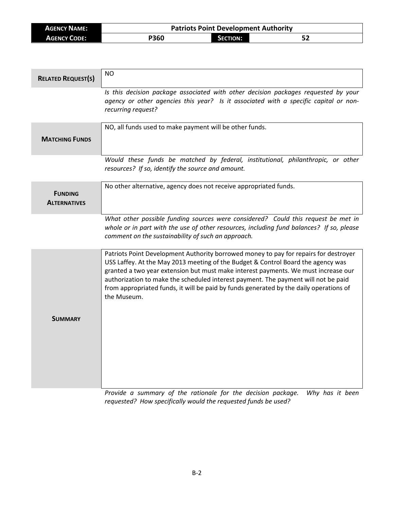| <b>AGENCY NAME:</b> | <b>Patriots Point Development Authority</b> |                 |  |  |
|---------------------|---------------------------------------------|-----------------|--|--|
| <b>AGENCY CODE:</b> | <b>P360</b>                                 | <b>SECTION:</b> |  |  |

| <b>RELATED REQUEST(S)</b>             | <b>NO</b>                                                                                                                                                                                                                                                                                                                                                                                                                                                     |
|---------------------------------------|---------------------------------------------------------------------------------------------------------------------------------------------------------------------------------------------------------------------------------------------------------------------------------------------------------------------------------------------------------------------------------------------------------------------------------------------------------------|
|                                       | Is this decision package associated with other decision packages requested by your<br>agency or other agencies this year? Is it associated with a specific capital or non-<br>recurring request?                                                                                                                                                                                                                                                              |
| <b>MATCHING FUNDS</b>                 | NO, all funds used to make payment will be other funds.                                                                                                                                                                                                                                                                                                                                                                                                       |
|                                       | Would these funds be matched by federal, institutional, philanthropic, or other<br>resources? If so, identify the source and amount.                                                                                                                                                                                                                                                                                                                          |
| <b>FUNDING</b><br><b>ALTERNATIVES</b> | No other alternative, agency does not receive appropriated funds.                                                                                                                                                                                                                                                                                                                                                                                             |
|                                       | What other possible funding sources were considered? Could this request be met in<br>whole or in part with the use of other resources, including fund balances? If so, please<br>comment on the sustainability of such an approach.                                                                                                                                                                                                                           |
| <b>SUMMARY</b>                        | Patriots Point Development Authority borrowed money to pay for repairs for destroyer<br>USS Laffey. At the May 2013 meeting of the Budget & Control Board the agency was<br>granted a two year extension but must make interest payments. We must increase our<br>authorization to make the scheduled interest payment. The payment will not be paid<br>from appropriated funds, it will be paid by funds generated by the daily operations of<br>the Museum. |
|                                       |                                                                                                                                                                                                                                                                                                                                                                                                                                                               |

*Provide a summary of the rationale for the decision package. Why has it been requested? How specifically would the requested funds be used?*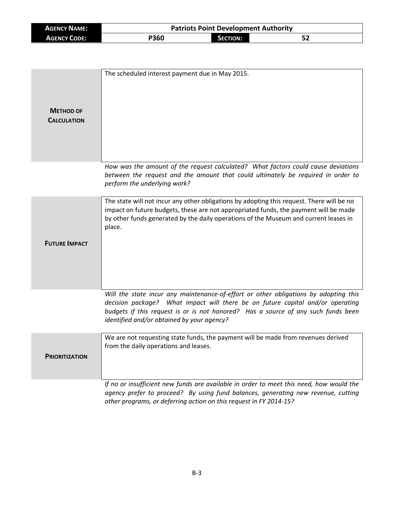| <b>AGENCY NAME:</b> | <b>Patriots Point Development Authority</b> |                 |    |
|---------------------|---------------------------------------------|-----------------|----|
| <b>AGENCY CODE:</b> | P360                                        | <b>SECTION:</b> | 52 |

| <b>METHOD OF</b><br><b>CALCULATION</b> | The scheduled interest payment due in May 2015.                                                                                                                                                                                                                                                           |
|----------------------------------------|-----------------------------------------------------------------------------------------------------------------------------------------------------------------------------------------------------------------------------------------------------------------------------------------------------------|
|                                        | How was the amount of the request calculated? What factors could cause deviations<br>between the request and the amount that could ultimately be required in order to<br>perform the underlying work?                                                                                                     |
| <b>FUTURE IMPACT</b>                   | The state will not incur any other obligations by adopting this request. There will be no<br>impact on future budgets, these are not appropriated funds, the payment will be made<br>by other funds generated by the daily operations of the Museum and current leases in<br>place.                       |
|                                        | Will the state incur any maintenance-of-effort or other obligations by adopting this<br>decision package? What impact will there be on future capital and/or operating<br>budgets if this request is or is not honored? Has a source of any such funds been<br>identified and/or obtained by your agency? |
| <b>PRIORITIZATION</b>                  | We are not requesting state funds, the payment will be made from revenues derived<br>from the daily operations and leases.                                                                                                                                                                                |
|                                        | If no or insufficient new funds are available in order to meet this need, how would the<br>agency prefer to proceed? By using fund balances, generating new revenue, cutting<br>other programs, or deferring action on this request in FY 2014-15?                                                        |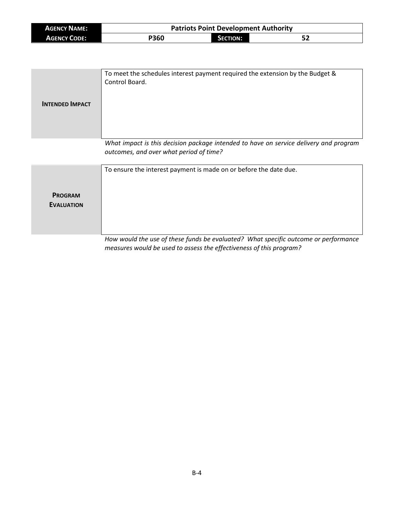| <b>AGENCY NAME:</b> | <b>Patriots Point Development Authority</b> |                 |    |
|---------------------|---------------------------------------------|-----------------|----|
| <b>AGENCY CODE:</b> | P360                                        | <b>SECTION:</b> | 52 |

| <b>INTENDED IMPACT</b>              | To meet the schedules interest payment required the extension by the Budget &<br>Control Board.                                  |
|-------------------------------------|----------------------------------------------------------------------------------------------------------------------------------|
|                                     | What impact is this decision package intended to have on service delivery and program<br>outcomes, and over what period of time? |
| <b>PROGRAM</b><br><b>EVALUATION</b> | To ensure the interest payment is made on or before the date due.                                                                |

*How would the use of these funds be evaluated? What specific outcome or performance measures would be used to assess the effectiveness of this program?*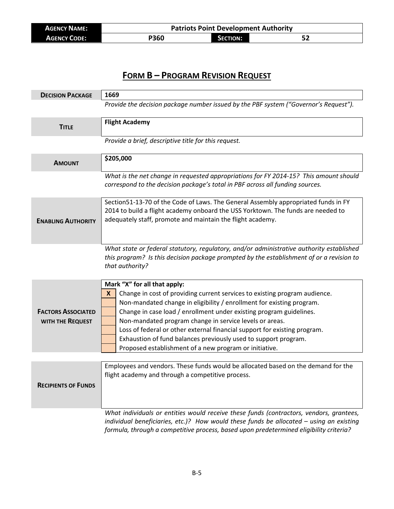| <b>AGENCY NAME:</b> | <b>Patriots Point Development Authority</b> |                 |  |
|---------------------|---------------------------------------------|-----------------|--|
| <b>AGENCY CODE:</b> | P360                                        | <b>SECTION:</b> |  |

## **FORM B – PROGRAM REVISION REQUEST**

| <b>DECISION PACKAGE</b>    | 1669                                                                                                                                           |  |
|----------------------------|------------------------------------------------------------------------------------------------------------------------------------------------|--|
|                            | Provide the decision package number issued by the PBF system ("Governor's Request").                                                           |  |
|                            |                                                                                                                                                |  |
| <b>TITLE</b>               | <b>Flight Academy</b>                                                                                                                          |  |
|                            | Provide a brief, descriptive title for this request.                                                                                           |  |
|                            |                                                                                                                                                |  |
| <b>AMOUNT</b>              | \$205,000                                                                                                                                      |  |
|                            | What is the net change in requested appropriations for FY 2014-15? This amount should                                                          |  |
|                            | correspond to the decision package's total in PBF across all funding sources.                                                                  |  |
|                            |                                                                                                                                                |  |
|                            | Section51-13-70 of the Code of Laws. The General Assembly appropriated funds in FY                                                             |  |
| <b>ENABLING AUTHORITY</b>  | 2014 to build a flight academy onboard the USS Yorktown. The funds are needed to<br>adequately staff, promote and maintain the flight academy. |  |
|                            |                                                                                                                                                |  |
|                            |                                                                                                                                                |  |
|                            | What state or federal statutory, regulatory, and/or administrative authority established                                                       |  |
|                            | this program? Is this decision package prompted by the establishment of or a revision to                                                       |  |
|                            | that authority?                                                                                                                                |  |
|                            | Mark "X" for all that apply:                                                                                                                   |  |
|                            | Change in cost of providing current services to existing program audience.<br>X                                                                |  |
|                            | Non-mandated change in eligibility / enrollment for existing program.                                                                          |  |
| <b>FACTORS ASSOCIATED</b>  | Change in case load / enrollment under existing program guidelines.                                                                            |  |
| WITH THE REQUEST           | Non-mandated program change in service levels or areas.<br>Loss of federal or other external financial support for existing program.           |  |
|                            | Exhaustion of fund balances previously used to support program.                                                                                |  |
|                            | Proposed establishment of a new program or initiative.                                                                                         |  |
|                            |                                                                                                                                                |  |
|                            | Employees and vendors. These funds would be allocated based on the demand for the                                                              |  |
|                            | flight academy and through a competitive process.                                                                                              |  |
| <b>RECIPIENTS OF FUNDS</b> |                                                                                                                                                |  |
|                            |                                                                                                                                                |  |
|                            | What individuals or entities would receive these funds (contractors, vendors, grantees,                                                        |  |
|                            | individual beneficiaries, etc.)? How would these funds be allocated $-$ using an existing                                                      |  |
|                            | formula, through a competitive process, based upon predetermined eligibility criteria?                                                         |  |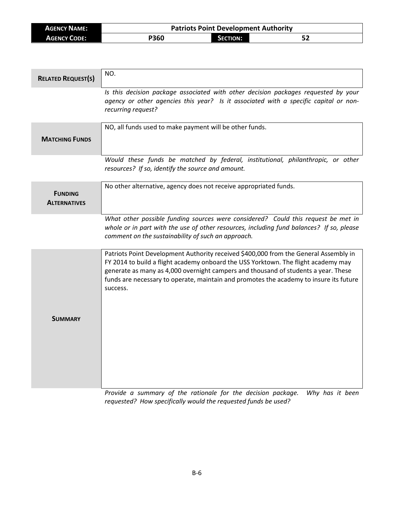| <b>AGENCY NAME:</b> | <b>Patriots Point Development Authority</b> |                 |  |
|---------------------|---------------------------------------------|-----------------|--|
| <b>AGENCY CODE:</b> | <b>P360</b>                                 | <b>SECTION:</b> |  |

| <b>RELATED REQUEST(S)</b>             | NO.                                                                                                                                                                                                                                                                                                                                                                    |
|---------------------------------------|------------------------------------------------------------------------------------------------------------------------------------------------------------------------------------------------------------------------------------------------------------------------------------------------------------------------------------------------------------------------|
|                                       | Is this decision package associated with other decision packages requested by your<br>agency or other agencies this year? Is it associated with a specific capital or non-<br>recurring request?                                                                                                                                                                       |
| <b>MATCHING FUNDS</b>                 | NO, all funds used to make payment will be other funds.                                                                                                                                                                                                                                                                                                                |
|                                       | Would these funds be matched by federal, institutional, philanthropic, or other<br>resources? If so, identify the source and amount.                                                                                                                                                                                                                                   |
| <b>FUNDING</b><br><b>ALTERNATIVES</b> | No other alternative, agency does not receive appropriated funds.                                                                                                                                                                                                                                                                                                      |
|                                       | What other possible funding sources were considered? Could this request be met in<br>whole or in part with the use of other resources, including fund balances? If so, please<br>comment on the sustainability of such an approach.                                                                                                                                    |
| <b>SUMMARY</b>                        | Patriots Point Development Authority received \$400,000 from the General Assembly in<br>FY 2014 to build a flight academy onboard the USS Yorktown. The flight academy may<br>generate as many as 4,000 overnight campers and thousand of students a year. These<br>funds are necessary to operate, maintain and promotes the academy to insure its future<br>success. |

*Provide a summary of the rationale for the decision package. Why has it been requested? How specifically would the requested funds be used?*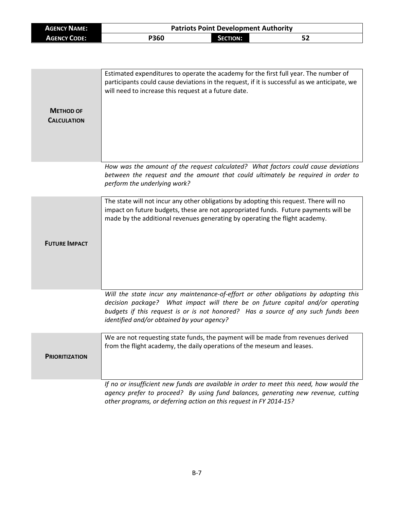| <b>AGENCY NAME:</b>                    | <b>Patriots Point Development Authority</b>                                                                                                                                                                                                                                                               |                 |    |
|----------------------------------------|-----------------------------------------------------------------------------------------------------------------------------------------------------------------------------------------------------------------------------------------------------------------------------------------------------------|-----------------|----|
| <b>AGENCY CODE:</b>                    | P360                                                                                                                                                                                                                                                                                                      | <b>SECTION:</b> | 52 |
|                                        |                                                                                                                                                                                                                                                                                                           |                 |    |
| <b>METHOD OF</b><br><b>CALCULATION</b> | Estimated expenditures to operate the academy for the first full year. The number of<br>participants could cause deviations in the request, if it is successful as we anticipate, we<br>will need to increase this request at a future date.                                                              |                 |    |
|                                        | How was the amount of the request calculated? What factors could cause deviations<br>between the request and the amount that could ultimately be required in order to<br>perform the underlying work?                                                                                                     |                 |    |
| <b>FUTURE IMPACT</b>                   | The state will not incur any other obligations by adopting this request. There will no<br>impact on future budgets, these are not appropriated funds. Future payments will be<br>made by the additional revenues generating by operating the flight academy.                                              |                 |    |
|                                        | Will the state incur any maintenance-of-effort or other obligations by adopting this<br>decision package? What impact will there be on future capital and/or operating<br>budgets if this request is or is not honored? Has a source of any such funds been<br>identified and/or obtained by your agency? |                 |    |
| <b>PRIORITIZATION</b>                  | We are not requesting state funds, the payment will be made from revenues derived<br>from the flight academy, the daily operations of the meseum and leases.                                                                                                                                              |                 |    |
|                                        | If no or insufficient new funds are available in order to meet this need, how would the<br>agency prefer to proceed? By using fund balances, generating new revenue, cutting<br>other programs, or deferring action on this request in FY 2014-15?                                                        |                 |    |